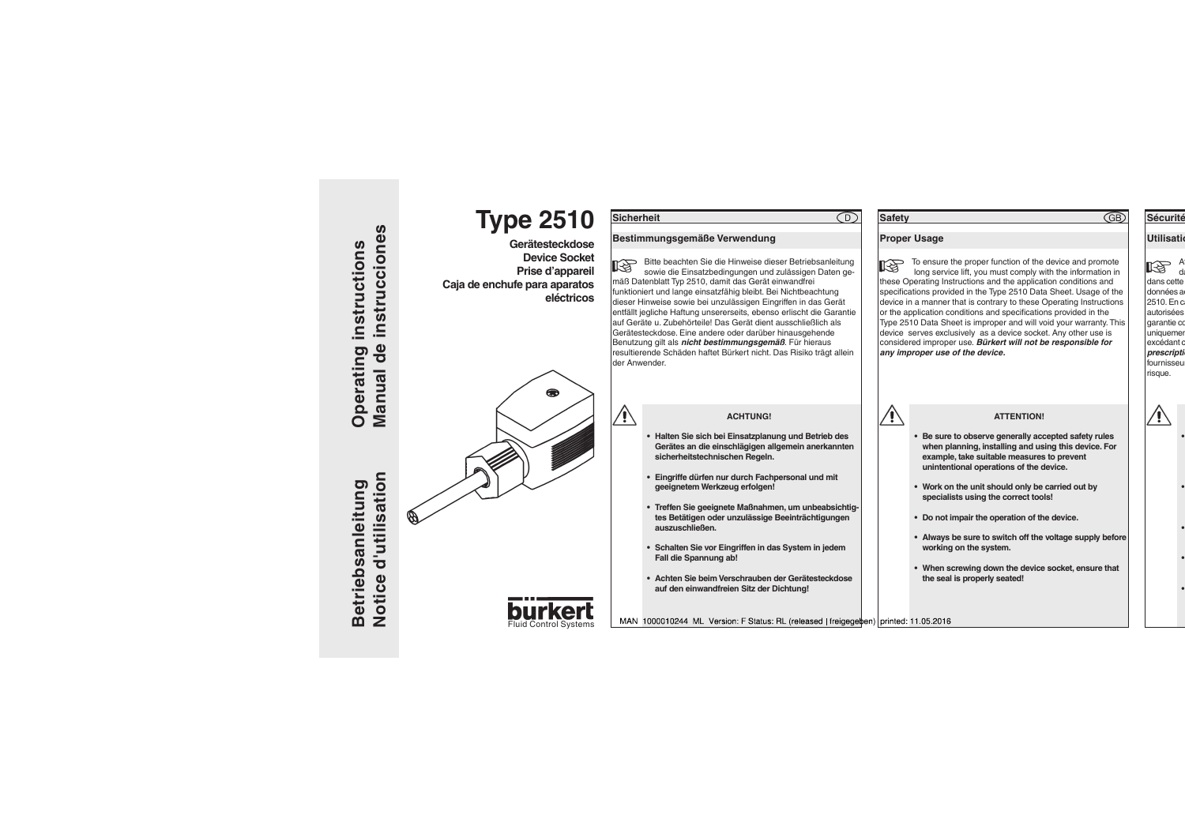

- 
- 
- 
- 
- 

- 
- 
- 
- 
- 

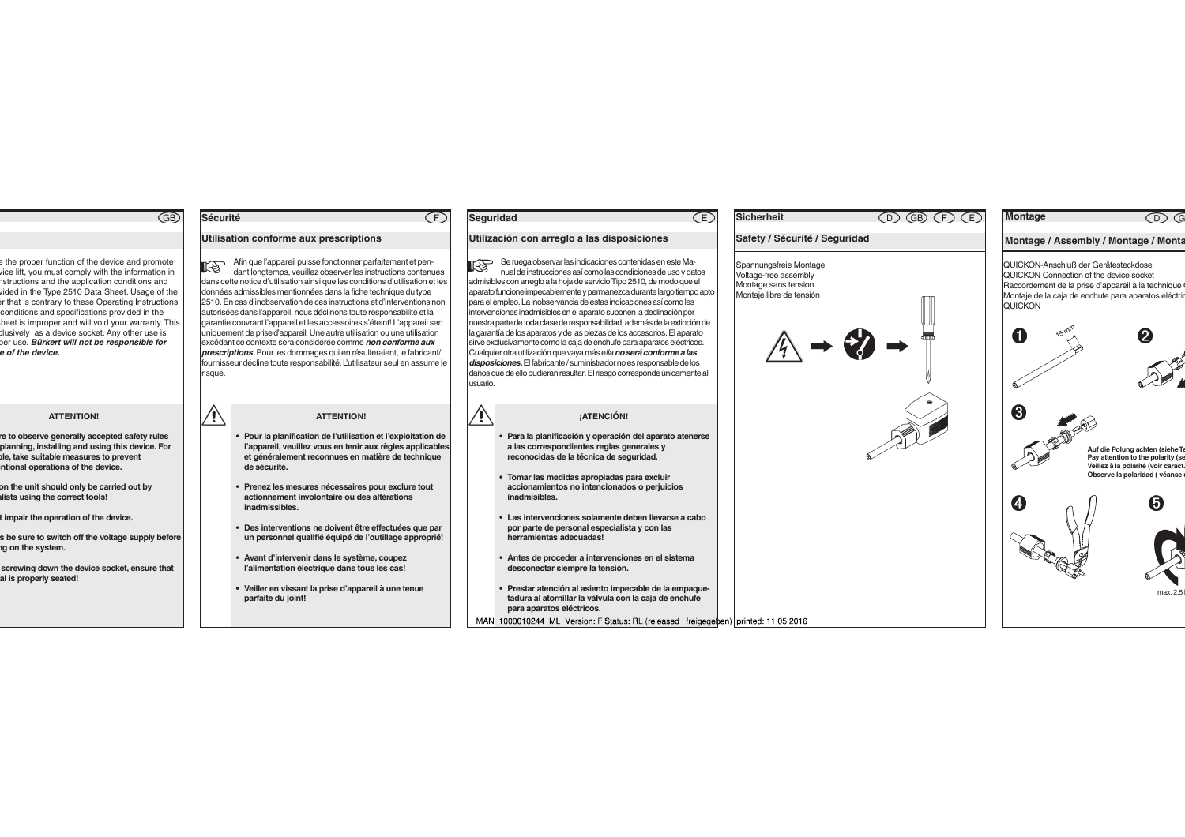## **Sécurité**

## **Utilisation conforme aux prescriptions**

Afin que l'appareil puisse fonctionner parfaitement et pendant longtemps, veuillez observer les instructions contenues dans cette notice d'utilisation ainsi que les conditions d'utilisation et les données admissibles mentionnées dans la fiche technique du type 2510. En cas d'inobservation de ces instructions et d'interventions non autorisées dans l'appareil, nous déclinons toute responsabilité et la garantie couvrant l'appareil et les accessoires s'éteint! L'appareil sert luniquement de prise d'appareil. Une autre utilisation ou une utilisation excédant ce contexte sera considérée comme **non conforme aux prescriptions**. Pour les dommages qui en résulteraient, le fabricant/ fournisseur décline toute responsabilité. L'utilisateur seul en assume le risque.

# **ATTENTION!**

- **• Pour la planification de l'utilisation et l'exploitation de l'appareil, veuillez vous en tenir aux règles applicables et généralement reconnues en matière de technique de sécurité.**
- **• Prenez les mesures nécessaires pour exclure tout actionnement involontaire ou des altérations inadmissibles.**
- **• Des interventions ne doivent être effectuées que par un personnel qualifié équipé de l'outillage approprié!**
- **Avant d'intervenir dans le système, coupez l'alimentation électrique dans tous les cas!**
- **Veiller en vissant la prise d'appareil à une tenue parfaite du joint!**

## **Seguridad**

7 J Y

Œ

## **Utilización con arreglo a las disposiciones**

Se ruega observar las indicaciones contenidas en este Marð. nual de instrucciones así como las condiciones de uso y datos admisibles con arreglo a la hoja de servicio Tipo 2510, de modo que el aparato funcione impecablemente y permanezca durante largo tiempo apto para el empleo. La inobservancia de estas indicaciones así como las intervenciones inadmisibles en el aparato suponen la declinación por nuestra parte de toda clase de responsabilidad, además de la extinción de la garantía de los aparatos y de las piezas de los accesorios. El aparato sirve exclusivamente como la caja de enchufe para aparatos eléctricos. Cualquier otra utilización que vaya más ella **no será conforme a las disposiciones.** El fabricante / suministrador no es responsable de los daños que de ello pudieran resultar. El riesgo corresponde únicamente al usuario.

Œ

# **¡ATENCIÓN!**

- **• Para la planificación y operación del aparato atenerse a las correspondientes reglas generales y reconocidas de la técnica de seguridad.**
- **• Tomar las medidas apropiadas para excluir accionamientos no intencionados o perjuicios inadmisibles.**
- **• Las intervenciones solamente deben llevarse a cabo por parte de personal especialista y con las herramientas adecuadas!**
- **• Antes de proceder a intervenciones en el sistema desconectar siempre la tensión.**
- **• Prestar atención al asiento impecable de la empaquetadura al atornillar la válvula con la caja de enchufe para aparatos eléctricos.**

MAN 1000010244 ML Version: F Status: RL (released | freigegeben) printed: 11.05.2016

| <b>Sicherheit</b>                                                                                   | GB E E<br>CD) |
|-----------------------------------------------------------------------------------------------------|---------------|
| Safety / Sécurité / Seguridad                                                                       |               |
| Spannungsfreie Montage<br>Voltage-free assembly<br>Montage sans tension<br>Montaje libre de tensión | duran<br>œ    |
|                                                                                                     |               |
|                                                                                                     |               |
|                                                                                                     |               |
|                                                                                                     |               |
|                                                                                                     |               |
|                                                                                                     |               |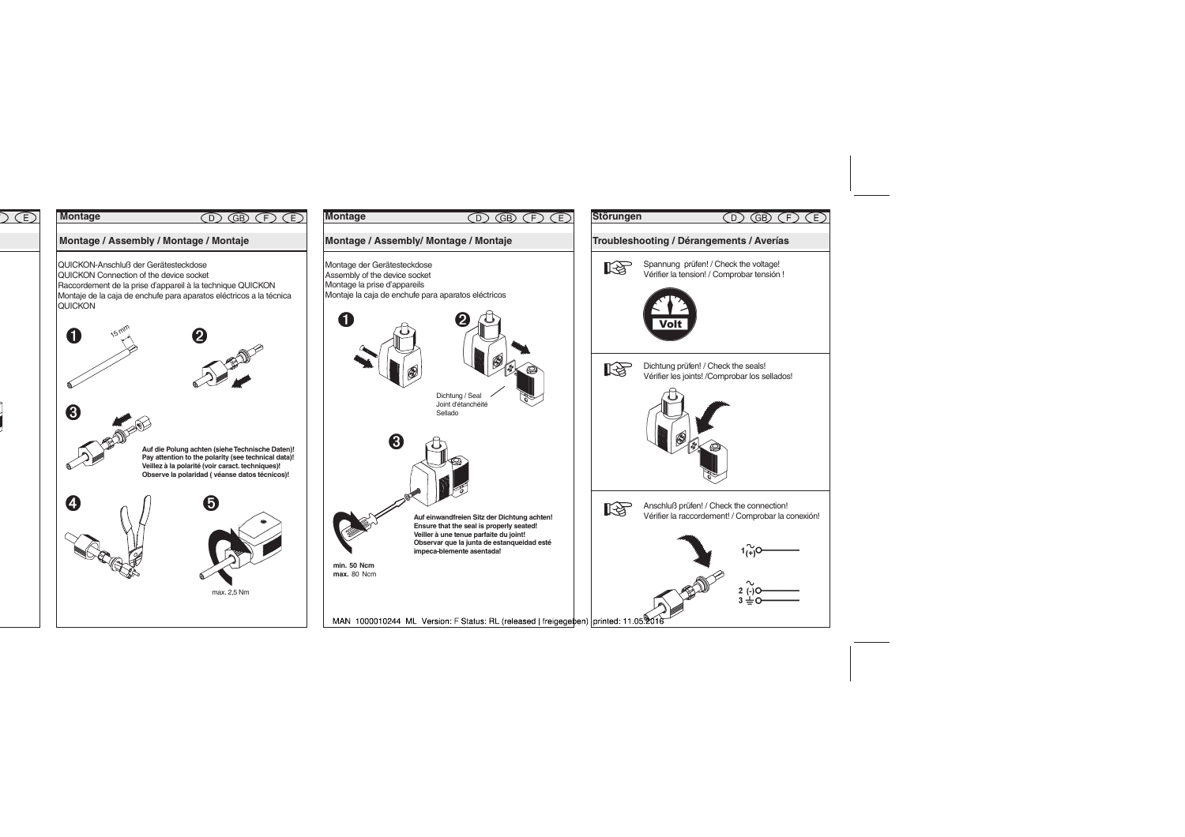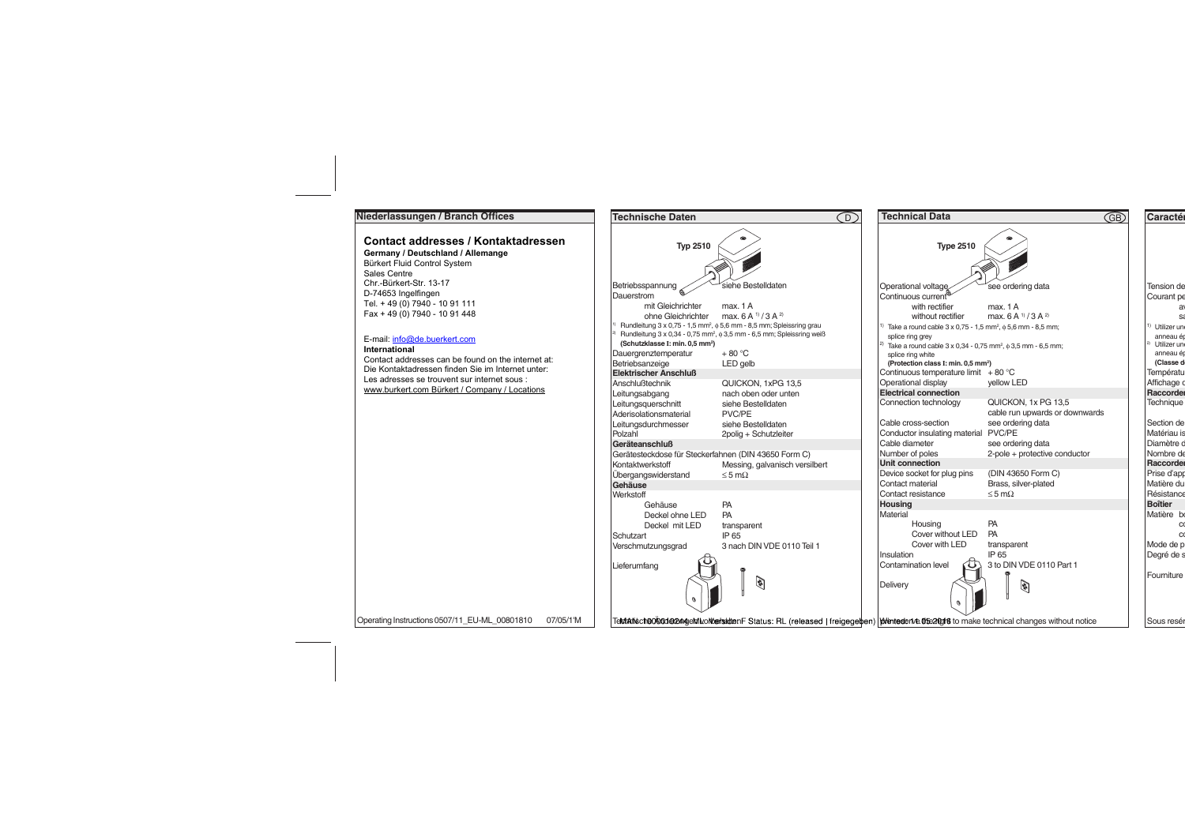# **Niederlassungen / Branch Offices**

## **Contact addresses / Kontaktadressen**

**Germany / Deutschland / Allemange**  Bürkert Fluid Control System Sales Centre Chr.-Bürkert-Str. 13-17 D-74653 Ingelfingen Tel. + 49 (0) 7940 - 10 91 111 Fax + 49 (0) 7940 - 10 91 448

### E-mail: info@de.buerkert.com

**International**  Contact addresses can be found on the internet at: Die Kontaktadressen finden Sie im Internet unter: Les adresses se trouvent sur internet sous : www.burkert.com Bürkert / Company / Locations





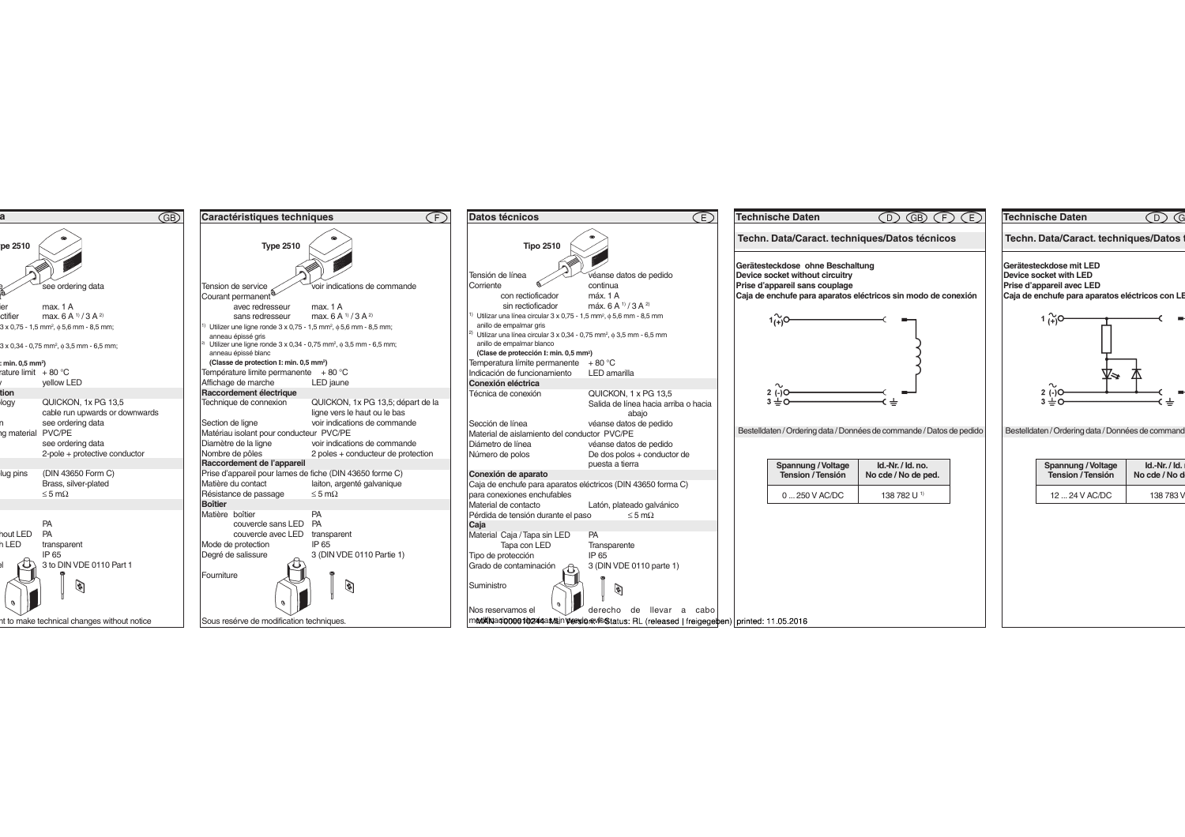

| Datos técnicos                                                                                                                                                                                                                                                                                                                      | (E                                                                        |
|-------------------------------------------------------------------------------------------------------------------------------------------------------------------------------------------------------------------------------------------------------------------------------------------------------------------------------------|---------------------------------------------------------------------------|
| <b>Tipo 2510</b>                                                                                                                                                                                                                                                                                                                    | æ                                                                         |
| Tensión de línea                                                                                                                                                                                                                                                                                                                    | véanse datos de pedido                                                    |
| Corriente                                                                                                                                                                                                                                                                                                                           | continua                                                                  |
| con rectioficador                                                                                                                                                                                                                                                                                                                   | máx. 1 A                                                                  |
| sin rectioficador                                                                                                                                                                                                                                                                                                                   | máx. 6 A <sup>1)</sup> / 3 A <sup>2)</sup>                                |
| <sup>1)</sup> Utilizar una línea circular $3 \times 0.75 - 1.5$ mm <sup>2</sup> , $\phi$ 5,6 mm - 8,5 mm<br>anillo de empalmar gris<br><sup>2)</sup> Utilizar una línea circular $3 \times 0,34 - 0,75$ mm <sup>2</sup> , $\phi$ 3,5 mm - 6,5 mm<br>anillo de empalmar blanco<br>(Clase de protección I: min. 0,5 mm <sup>2</sup> ) |                                                                           |
| Temperatura límite permanente                                                                                                                                                                                                                                                                                                       | $+80 °C$                                                                  |
| Indicación de funcionamiento                                                                                                                                                                                                                                                                                                        | LED amarilla                                                              |
| Conexión eléctrica                                                                                                                                                                                                                                                                                                                  |                                                                           |
| Técnica de conexión                                                                                                                                                                                                                                                                                                                 | QUICKON, 1 x PG 13.5<br>Salida de línea hacia arriba o hacia<br>abajo     |
| Sección de línea                                                                                                                                                                                                                                                                                                                    | véanse datos de pedido                                                    |
| Material de aislamiento del conductor PVC/PE                                                                                                                                                                                                                                                                                        |                                                                           |
| Diámetro de línea                                                                                                                                                                                                                                                                                                                   | véanse datos de pedido                                                    |
| Número de polos                                                                                                                                                                                                                                                                                                                     | De dos polos + conductor de                                               |
|                                                                                                                                                                                                                                                                                                                                     | puesta a tierra                                                           |
| Conexión de aparato                                                                                                                                                                                                                                                                                                                 |                                                                           |
| Caja de enchufe para aparatos eléctricos (DIN 43650 forma C)<br>para conexiones enchufables                                                                                                                                                                                                                                         |                                                                           |
| Material de contacto                                                                                                                                                                                                                                                                                                                | Latón, plateado galvánico                                                 |
| Pérdida de tensión durante el paso                                                                                                                                                                                                                                                                                                  | $\leq$ 5 m $\Omega$                                                       |
| Caja                                                                                                                                                                                                                                                                                                                                |                                                                           |
| Material Caja / Tapa sin LED                                                                                                                                                                                                                                                                                                        | <b>PA</b>                                                                 |
| Tapa con LED                                                                                                                                                                                                                                                                                                                        | Transparente<br>IP 65                                                     |
| Tipo de protección<br>Grado de contaminación                                                                                                                                                                                                                                                                                        | 3 (DIN VDE 0110 parte 1)                                                  |
|                                                                                                                                                                                                                                                                                                                                     |                                                                           |
| Suministro                                                                                                                                                                                                                                                                                                                          | ۵                                                                         |
| Nos reservamos el                                                                                                                                                                                                                                                                                                                   | derecho<br>de<br>llevar<br>cabo<br>a                                      |
|                                                                                                                                                                                                                                                                                                                                     | modAfidadiooee1e244aa/stin peesionavfsStatus: RL (released   freigegeben) |



printed: 11.05.2016